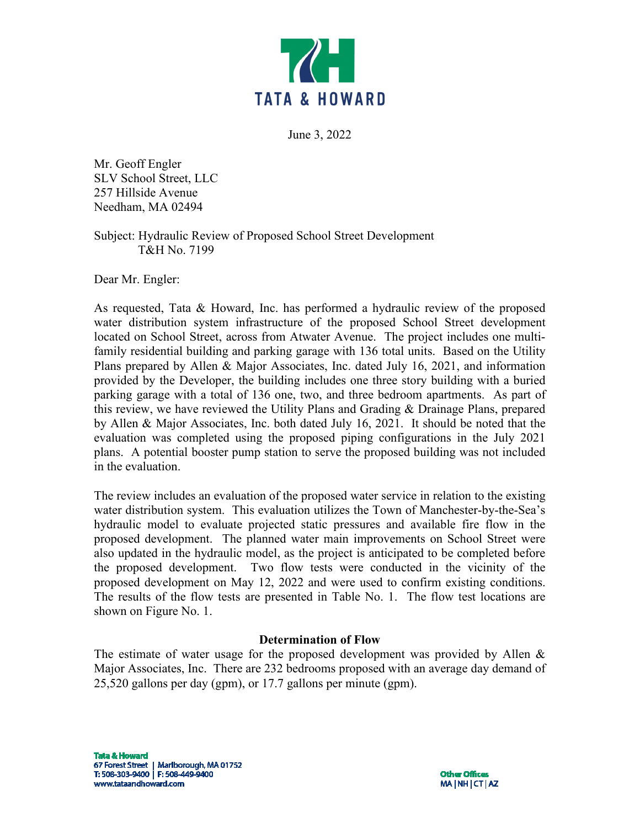

June 3, 2022

Mr. Geoff Engler SLV School Street, LLC 257 Hillside Avenue Needham, MA 02494

Subject: Hydraulic Review of Proposed School Street Development T&H No. 7199

Dear Mr. Engler:

As requested, Tata & Howard, Inc. has performed a hydraulic review of the proposed water distribution system infrastructure of the proposed School Street development located on School Street, across from Atwater Avenue. The project includes one multifamily residential building and parking garage with 136 total units. Based on the Utility Plans prepared by Allen & Major Associates, Inc. dated July 16, 2021, and information provided by the Developer, the building includes one three story building with a buried parking garage with a total of 136 one, two, and three bedroom apartments. As part of this review, we have reviewed the Utility Plans and Grading & Drainage Plans, prepared by Allen & Major Associates, Inc. both dated July 16, 2021. It should be noted that the evaluation was completed using the proposed piping configurations in the July 2021 plans. A potential booster pump station to serve the proposed building was not included in the evaluation.

The review includes an evaluation of the proposed water service in relation to the existing water distribution system. This evaluation utilizes the Town of Manchester-by-the-Sea's hydraulic model to evaluate projected static pressures and available fire flow in the proposed development. The planned water main improvements on School Street were also updated in the hydraulic model, as the project is anticipated to be completed before the proposed development. Two flow tests were conducted in the vicinity of the proposed development on May 12, 2022 and were used to confirm existing conditions. The results of the flow tests are presented in Table No. 1. The flow test locations are shown on Figure No. 1.

## **Determination of Flow**

The estimate of water usage for the proposed development was provided by Allen & Major Associates, Inc. There are 232 bedrooms proposed with an average day demand of 25,520 gallons per day (gpm), or 17.7 gallons per minute (gpm).

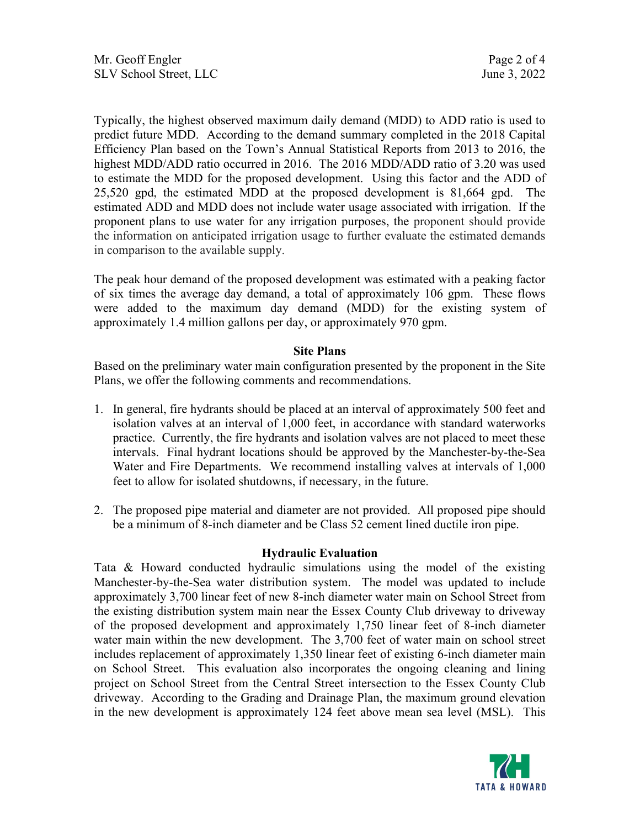Typically, the highest observed maximum daily demand (MDD) to ADD ratio is used to predict future MDD. According to the demand summary completed in the 2018 Capital Efficiency Plan based on the Town's Annual Statistical Reports from 2013 to 2016, the highest MDD/ADD ratio occurred in 2016. The 2016 MDD/ADD ratio of 3.20 was used to estimate the MDD for the proposed development. Using this factor and the ADD of 25,520 gpd, the estimated MDD at the proposed development is 81,664 gpd. The estimated ADD and MDD does not include water usage associated with irrigation. If the proponent plans to use water for any irrigation purposes, the proponent should provide the information on anticipated irrigation usage to further evaluate the estimated demands in comparison to the available supply.

The peak hour demand of the proposed development was estimated with a peaking factor of six times the average day demand, a total of approximately 106 gpm. These flows were added to the maximum day demand (MDD) for the existing system of approximately 1.4 million gallons per day, or approximately 970 gpm.

## **Site Plans**

Based on the preliminary water main configuration presented by the proponent in the Site Plans, we offer the following comments and recommendations.

- 1. In general, fire hydrants should be placed at an interval of approximately 500 feet and isolation valves at an interval of 1,000 feet, in accordance with standard waterworks practice. Currently, the fire hydrants and isolation valves are not placed to meet these intervals. Final hydrant locations should be approved by the Manchester-by-the-Sea Water and Fire Departments. We recommend installing valves at intervals of 1,000 feet to allow for isolated shutdowns, if necessary, in the future.
- 2. The proposed pipe material and diameter are not provided. All proposed pipe should be a minimum of 8-inch diameter and be Class 52 cement lined ductile iron pipe.

## **Hydraulic Evaluation**

Tata & Howard conducted hydraulic simulations using the model of the existing Manchester-by-the-Sea water distribution system. The model was updated to include approximately 3,700 linear feet of new 8-inch diameter water main on School Street from the existing distribution system main near the Essex County Club driveway to driveway of the proposed development and approximately 1,750 linear feet of 8-inch diameter water main within the new development. The 3,700 feet of water main on school street includes replacement of approximately 1,350 linear feet of existing 6-inch diameter main on School Street. This evaluation also incorporates the ongoing cleaning and lining project on School Street from the Central Street intersection to the Essex County Club driveway. According to the Grading and Drainage Plan, the maximum ground elevation in the new development is approximately 124 feet above mean sea level (MSL). This

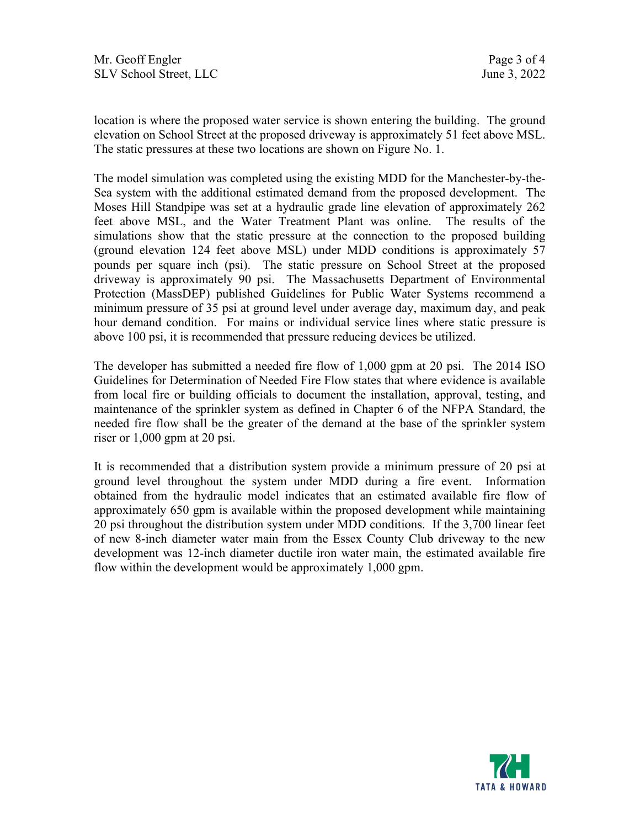location is where the proposed water service is shown entering the building. The ground elevation on School Street at the proposed driveway is approximately 51 feet above MSL. The static pressures at these two locations are shown on Figure No. 1.

The model simulation was completed using the existing MDD for the Manchester-by-the-Sea system with the additional estimated demand from the proposed development. The Moses Hill Standpipe was set at a hydraulic grade line elevation of approximately 262 feet above MSL, and the Water Treatment Plant was online. The results of the simulations show that the static pressure at the connection to the proposed building (ground elevation 124 feet above MSL) under MDD conditions is approximately 57 pounds per square inch (psi). The static pressure on School Street at the proposed driveway is approximately 90 psi. The Massachusetts Department of Environmental Protection (MassDEP) published Guidelines for Public Water Systems recommend a minimum pressure of 35 psi at ground level under average day, maximum day, and peak hour demand condition. For mains or individual service lines where static pressure is above 100 psi, it is recommended that pressure reducing devices be utilized.

The developer has submitted a needed fire flow of 1,000 gpm at 20 psi. The 2014 ISO Guidelines for Determination of Needed Fire Flow states that where evidence is available from local fire or building officials to document the installation, approval, testing, and maintenance of the sprinkler system as defined in Chapter 6 of the NFPA Standard, the needed fire flow shall be the greater of the demand at the base of the sprinkler system riser or 1,000 gpm at 20 psi.

It is recommended that a distribution system provide a minimum pressure of 20 psi at ground level throughout the system under MDD during a fire event. Information obtained from the hydraulic model indicates that an estimated available fire flow of approximately 650 gpm is available within the proposed development while maintaining 20 psi throughout the distribution system under MDD conditions. If the 3,700 linear feet of new 8-inch diameter water main from the Essex County Club driveway to the new development was 12-inch diameter ductile iron water main, the estimated available fire flow within the development would be approximately 1,000 gpm.

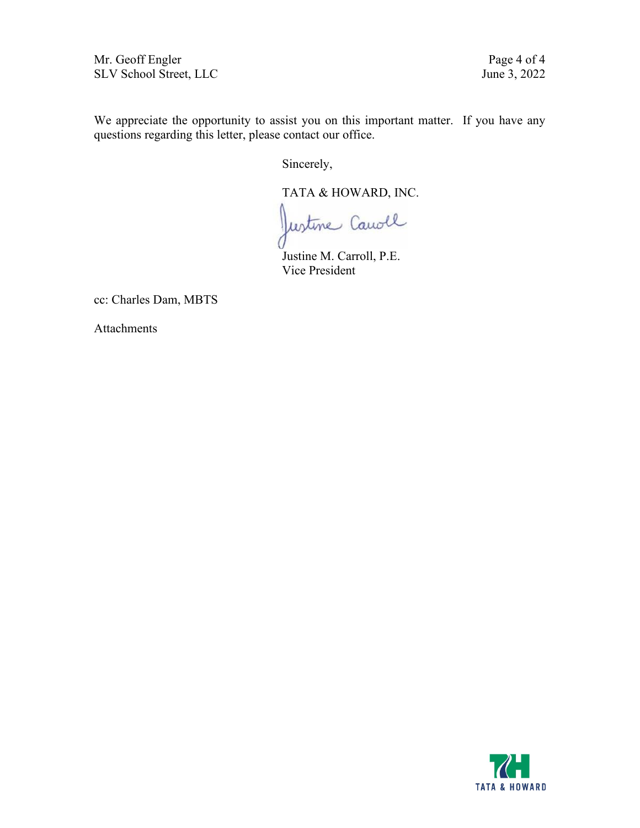Mr. Geoff Engler Page 4 of 4<br>SLV School Street, LLC June 3, 2022 SLV School Street, LLC

We appreciate the opportunity to assist you on this important matter. If you have any questions regarding this letter, please contact our office.

Sincerely,

TATA & HOWARD, INC.

Justine Canoll

Justine M. Carroll, P.E. Vice President

cc: Charles Dam, MBTS

Attachments

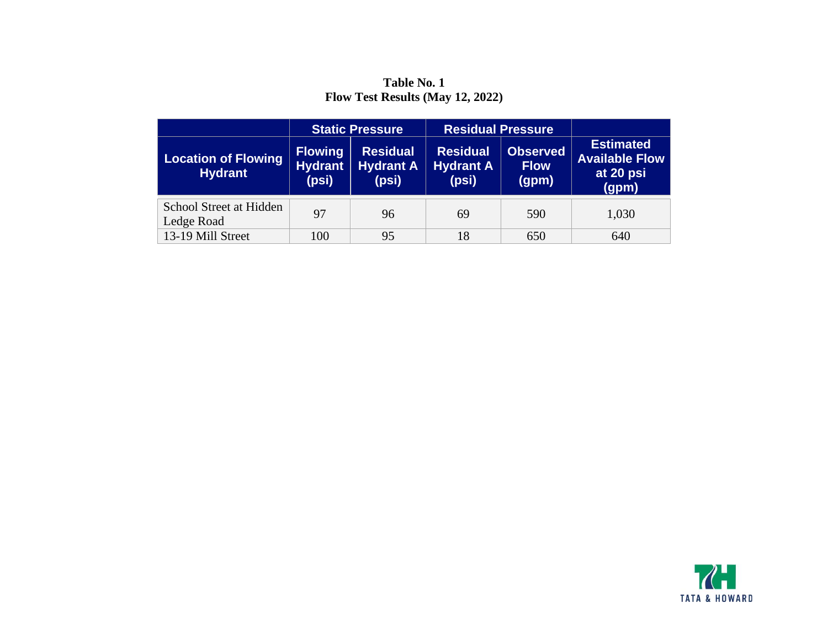**Table No. 1 Flow Test Results (May 12, 2022)**

|                                              | <b>Static Pressure</b>                    |                                              | <b>Residual Pressure</b>                     |                                         |                                                                 |
|----------------------------------------------|-------------------------------------------|----------------------------------------------|----------------------------------------------|-----------------------------------------|-----------------------------------------------------------------|
| <b>Location of Flowing</b><br><b>Hydrant</b> | <b>Flowing</b><br><b>Hydrant</b><br>(psi) | <b>Residual</b><br><b>Hydrant A</b><br>(psi) | <b>Residual</b><br><b>Hydrant A</b><br>(psi) | <b>Observed</b><br><b>Flow</b><br>(gpm) | <b>Estimated</b><br><b>Available Flow</b><br>at 20 psi<br>(gpm) |
| School Street at Hidden<br>Ledge Road        | 97                                        | 96                                           | 69                                           | 590                                     | 1,030                                                           |
| 13-19 Mill Street                            | 100                                       | 95                                           | 18                                           | 650                                     | 640                                                             |